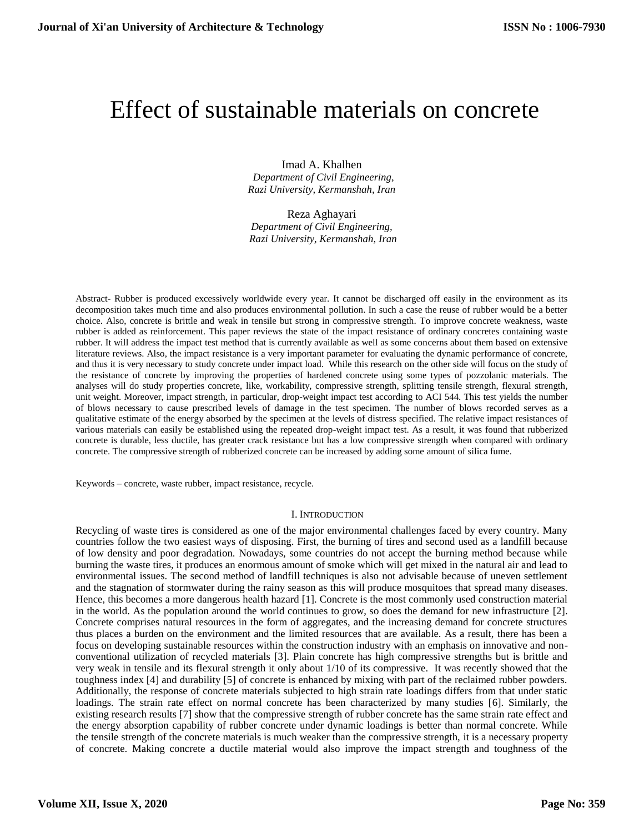# Effect of sustainable materials on concrete

Imad A. Khalhen  *Department of Civil Engineering, Razi University, Kermanshah, Iran*

Reza Aghayari *Department of Civil Engineering, Razi University, Kermanshah, Iran*

Abstract- Rubber is produced excessively worldwide every year. It cannot be discharged off easily in the environment as its decomposition takes much time and also produces environmental pollution. In such a case the reuse of rubber would be a better choice. Also, concrete is brittle and weak in tensile but strong in compressive strength. To improve concrete weakness, waste rubber is added as reinforcement. This paper reviews the state of the impact resistance of ordinary concretes containing waste rubber. It will address the impact test method that is currently available as well as some concerns about them based on extensive literature reviews. Also, the impact resistance is a very important parameter for evaluating the dynamic performance of concrete, and thus it is very necessary to study concrete under impact load. While this research on the other side will focus on the study of the resistance of concrete by improving the properties of hardened concrete using some types of pozzolanic materials. The analyses will do study properties concrete, like, workability, compressive strength, splitting tensile strength, flexural strength, unit weight. Moreover, impact strength, in particular, drop-weight impact test according to ACI 544. This test yields the number of blows necessary to cause prescribed levels of damage in the test specimen. The number of blows recorded serves as a qualitative estimate of the energy absorbed by the specimen at the levels of distress specified. The relative impact resistances of various materials can easily be established using the repeated drop-weight impact test. As a result, it was found that rubberized concrete is durable, less ductile, has greater crack resistance but has a low compressive strength when compared with ordinary concrete. The compressive strength of rubberized concrete can be increased by adding some amount of silica fume.

Keywords – concrete, waste rubber, impact resistance, recycle.

## I. INTRODUCTION

Recycling of waste tires is considered as one of the major environmental challenges faced by every country. Many countries follow the two easiest ways of disposing. First, the burning of tires and second used as a landfill because of low density and poor degradation. Nowadays, some countries do not accept the burning method because while burning the waste tires, it produces an enormous amount of smoke which will get mixed in the natural air and lead to environmental issues. The second method of landfill techniques is also not advisable because of uneven settlement and the stagnation of stormwater during the rainy season as this will produce mosquitoes that spread many diseases. Hence, this becomes a more dangerous health hazard [1]. Concrete is the most commonly used construction material in the world. As the population around the world continues to grow, so does the demand for new infrastructure [2]. Concrete comprises natural resources in the form of aggregates, and the increasing demand for concrete structures thus places a burden on the environment and the limited resources that are available. As a result, there has been a focus on developing sustainable resources within the construction industry with an emphasis on innovative and nonconventional utilization of recycled materials [3]. Plain concrete has high compressive strengths but is brittle and very weak in tensile and its flexural strength it only about 1/10 of its compressive. It was recently showed that the toughness index [4] and durability [5] of concrete is enhanced by mixing with part of the reclaimed rubber powders. Additionally, the response of concrete materials subjected to high strain rate loadings differs from that under static loadings. The strain rate effect on normal concrete has been characterized by many studies [6]. Similarly, the existing research results [7] show that the compressive strength of rubber concrete has the same strain rate effect and the energy absorption capability of rubber concrete under dynamic loadings is better than normal concrete. While the tensile strength of the concrete materials is much weaker than the compressive strength, it is a necessary property of concrete. Making concrete a ductile material would also improve the impact strength and toughness of the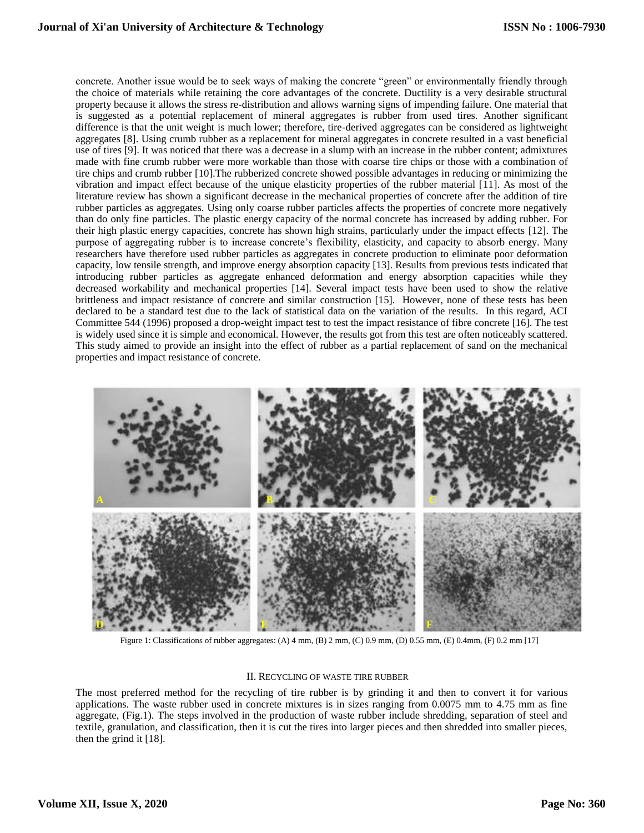concrete. Another issue would be to seek ways of making the concrete "green" or environmentally friendly through the choice of materials while retaining the core advantages of the concrete. Ductility is a very desirable structural property because it allows the stress re-distribution and allows warning signs of impending failure. One material that is suggested as a potential replacement of mineral aggregates is rubber from used tires. Another significant difference is that the unit weight is much lower; therefore, tire-derived aggregates can be considered as lightweight aggregates [8]. Using crumb rubber as a replacement for mineral aggregates in concrete resulted in a vast beneficial use of tires [9]. It was noticed that there was a decrease in a slump with an increase in the rubber content; admixtures made with fine crumb rubber were more workable than those with coarse tire chips or those with a combination of tire chips and crumb rubber [10].The rubberized concrete showed possible advantages in reducing or minimizing the vibration and impact effect because of the unique elasticity properties of the rubber material [11]. As most of the literature review has shown a significant decrease in the mechanical properties of concrete after the addition of tire rubber particles as aggregates. Using only coarse rubber particles affects the properties of concrete more negatively than do only fine particles. The plastic energy capacity of the normal concrete has increased by adding rubber. For their high plastic energy capacities, concrete has shown high strains, particularly under the impact effects [12]. The purpose of aggregating rubber is to increase concrete's flexibility, elasticity, and capacity to absorb energy. Many researchers have therefore used rubber particles as aggregates in concrete production to eliminate poor deformation capacity, low tensile strength, and improve energy absorption capacity [13]. Results from previous tests indicated that introducing rubber particles as aggregate enhanced deformation and energy absorption capacities while they decreased workability and mechanical properties [14]. Several impact tests have been used to show the relative brittleness and impact resistance of concrete and similar construction [15]. However, none of these tests has been declared to be a standard test due to the lack of statistical data on the variation of the results. In this regard, ACI Committee 544 (1996) proposed a drop-weight impact test to test the impact resistance of fibre concrete [16]. The test is widely used since it is simple and economical. However, the results got from this test are often noticeably scattered. This study aimed to provide an insight into the effect of rubber as a partial replacement of sand on the mechanical properties and impact resistance of concrete.



Figure 1: Classifications of rubber aggregates: (A) 4 mm, (B) 2 mm, (C) 0.9 mm, (D) 0.55 mm, (E) 0.4mm, (F) 0.2 mm [17]

## II. RECYCLING OF WASTE TIRE RUBBER

The most preferred method for the recycling of tire rubber is by grinding it and then to convert it for various applications. The waste rubber used in concrete mixtures is in sizes ranging from 0.0075 mm to 4.75 mm as fine aggregate, (Fig.1). The steps involved in the production of waste rubber include shredding, separation of steel and textile, granulation, and classification, then it is cut the tires into larger pieces and then shredded into smaller pieces, then the grind it [18].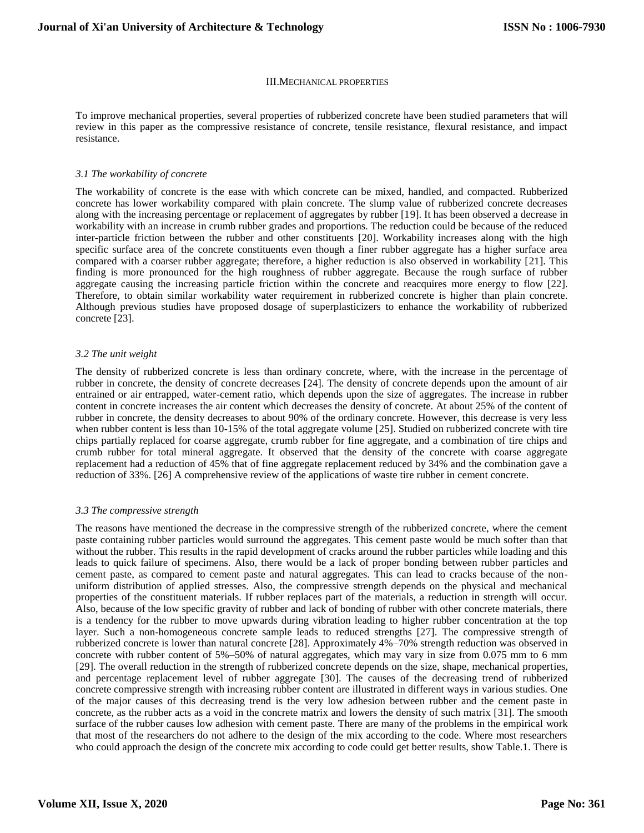# III.MECHANICAL PROPERTIES

To improve mechanical properties, several properties of rubberized concrete have been studied parameters that will review in this paper as the compressive resistance of concrete, tensile resistance, flexural resistance, and impact resistance.

## *3.1 The workability of concrete*

The workability of concrete is the ease with which concrete can be mixed, handled, and compacted. Rubberized concrete has lower workability compared with plain concrete. The slump value of rubberized concrete decreases along with the increasing percentage or replacement of aggregates by rubber [19]. It has been observed a decrease in workability with an increase in crumb rubber grades and proportions. The reduction could be because of the reduced inter-particle friction between the rubber and other constituents [20]. Workability increases along with the high specific surface area of the concrete constituents even though a finer rubber aggregate has a higher surface area compared with a coarser rubber aggregate; therefore, a higher reduction is also observed in workability [21]. This finding is more pronounced for the high roughness of rubber aggregate. Because the rough surface of rubber aggregate causing the increasing particle friction within the concrete and reacquires more energy to flow [22]. Therefore, to obtain similar workability water requirement in rubberized concrete is higher than plain concrete. Although previous studies have proposed dosage of superplasticizers to enhance the workability of rubberized concrete [23].

## *3.2 The unit weight*

The density of rubberized concrete is less than ordinary concrete, where, with the increase in the percentage of rubber in concrete, the density of concrete decreases [24]. The density of concrete depends upon the amount of air entrained or air entrapped, water-cement ratio, which depends upon the size of aggregates. The increase in rubber content in concrete increases the air content which decreases the density of concrete. At about 25% of the content of rubber in concrete, the density decreases to about 90% of the ordinary concrete. However, this decrease is very less when rubber content is less than 10-15% of the total aggregate volume [25]. Studied on rubberized concrete with tire chips partially replaced for coarse aggregate, crumb rubber for fine aggregate, and a combination of tire chips and crumb rubber for total mineral aggregate. It observed that the density of the concrete with coarse aggregate replacement had a reduction of 45% that of fine aggregate replacement reduced by 34% and the combination gave a reduction of 33%. [26] A comprehensive review of the applications of waste tire rubber in cement concrete.

## *3.3 The compressive strength*

The reasons have mentioned the decrease in the compressive strength of the rubberized concrete, where the cement paste containing rubber particles would surround the aggregates. This cement paste would be much softer than that without the rubber. This results in the rapid development of cracks around the rubber particles while loading and this leads to quick failure of specimens. Also, there would be a lack of proper bonding between rubber particles and cement paste, as compared to cement paste and natural aggregates. This can lead to cracks because of the nonuniform distribution of applied stresses. Also, the compressive strength depends on the physical and mechanical properties of the constituent materials. If rubber replaces part of the materials, a reduction in strength will occur. Also, because of the low specific gravity of rubber and lack of bonding of rubber with other concrete materials, there is a tendency for the rubber to move upwards during vibration leading to higher rubber concentration at the top layer. Such a non-homogeneous concrete sample leads to reduced strengths [27]. The compressive strength of rubberized concrete is lower than natural concrete [28]. Approximately 4%–70% strength reduction was observed in concrete with rubber content of 5%–50% of natural aggregates, which may vary in size from 0.075 mm to 6 mm [29]. The overall reduction in the strength of rubberized concrete depends on the size, shape, mechanical properties, and percentage replacement level of rubber aggregate [30]. The causes of the decreasing trend of rubberized concrete compressive strength with increasing rubber content are illustrated in different ways in various studies. One of the major causes of this decreasing trend is the very low adhesion between rubber and the cement paste in concrete, as the rubber acts as a void in the concrete matrix and lowers the density of such matrix [31]. The smooth surface of the rubber causes low adhesion with cement paste. There are many of the problems in the empirical work that most of the researchers do not adhere to the design of the mix according to the code. Where most researchers who could approach the design of the concrete mix according to code could get better results, show Table.1. There is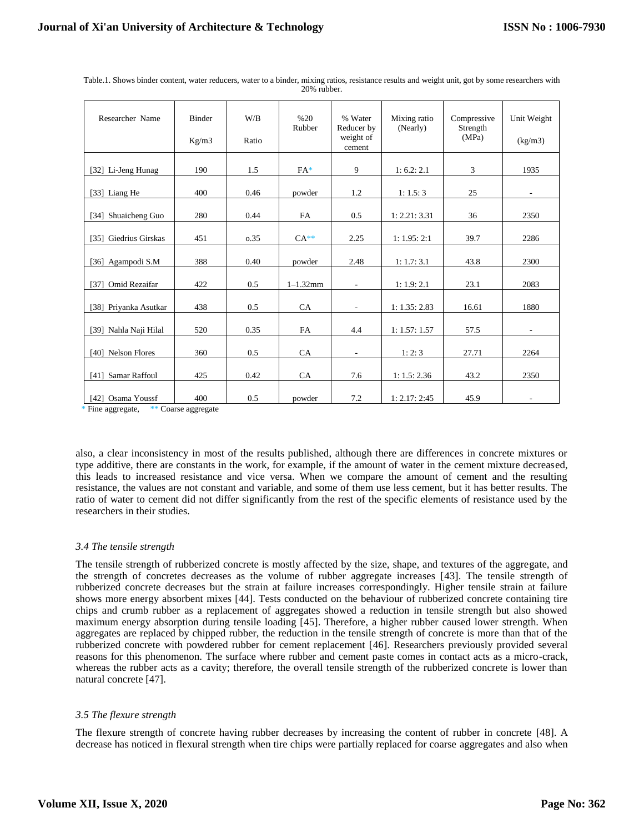| Researcher Name          | <b>Binder</b> | W/B   | %20<br>Rubber | % Water<br>Reducer by    | Mixing ratio<br>(Nearly) | Compressive<br>Strength | Unit Weight              |
|--------------------------|---------------|-------|---------------|--------------------------|--------------------------|-------------------------|--------------------------|
|                          | Kg/m3         | Ratio |               | weight of<br>cement      | (MPa)                    | (kg/m3)                 |                          |
| [32] Li-Jeng Hunag       | 190           | 1.5   | $FA*$         | 9                        | 1: 6.2: 2.1              | 3                       | 1935                     |
| [33] Liang He            | 400           | 0.46  | powder        | 1.2                      | 1: 1.5: 3                | 25                      | $\overline{\phantom{a}}$ |
| [34] Shuaicheng Guo      | 280           | 0.44  | <b>FA</b>     | 0.5                      | 1: 2.21: 3.31            | 36                      | 2350                     |
| Giedrius Girskas<br>[35] | 451           | 0.35  | $CA**$        | 2.25                     | 1: 1.95: 2:1             | 39.7                    | 2286                     |
| [36] Agampodi S.M        | 388           | 0.40  | powder        | 2.48                     | 1: 1.7: 3.1              | 43.8                    | 2300                     |
| [37] Omid Rezaifar       | 422           | 0.5   | $1 - 1.32$ mm | $\overline{\phantom{a}}$ | 1: 1.9: 2.1              | 23.1                    | 2083                     |
| [38] Priyanka Asutkar    | 438           | 0.5   | CA            | $\overline{\phantom{a}}$ | 1: 1.35: 2.83            | 16.61                   | 1880                     |
| [39] Nahla Naji Hilal    | 520           | 0.35  | <b>FA</b>     | 4.4                      | 1: 1.57: 1.57            | 57.5                    |                          |
| [40] Nelson Flores       | 360           | 0.5   | CA            | $\overline{\phantom{a}}$ | 1: 2: 3                  | 27.71                   | 2264                     |
| [41] Samar Raffoul       | 425           | 0.42  | CA            | 7.6                      | 1: 1.5: 2.36             | 43.2                    | 2350                     |
| [42] Osama Youssf        | 400           | 0.5   | powder        | 7.2                      | 1: 2.17: 2:45            | 45.9                    | $\overline{\phantom{a}}$ |

Table.1. Shows binder content, water reducers, water to a binder, mixing ratios, resistance results and weight unit, got by some researchers with 20% rubber.

\* Fine aggregate, \*\* Coarse aggregate

also, a clear inconsistency in most of the results published, although there are differences in concrete mixtures or type additive, there are constants in the work, for example, if the amount of water in the cement mixture decreased, this leads to increased resistance and vice versa. When we compare the amount of cement and the resulting resistance, the values are not constant and variable, and some of them use less cement, but it has better results. The ratio of water to cement did not differ significantly from the rest of the specific elements of resistance used by the researchers in their studies.

# *3.4 The tensile strength*

The tensile strength of rubberized concrete is mostly affected by the size, shape, and textures of the aggregate, and the strength of concretes decreases as the volume of rubber aggregate increases [43]. The tensile strength of rubberized concrete decreases but the strain at failure increases correspondingly. Higher tensile strain at failure shows more energy absorbent mixes [44]. Tests conducted on the behaviour of rubberized concrete containing tire chips and crumb rubber as a replacement of aggregates showed a reduction in tensile strength but also showed maximum energy absorption during tensile loading [45]. Therefore, a higher rubber caused lower strength. When aggregates are replaced by chipped rubber, the reduction in the tensile strength of concrete is more than that of the rubberized concrete with powdered rubber for cement replacement [46]. Researchers previously provided several reasons for this phenomenon. The surface where rubber and cement paste comes in contact acts as a micro-crack, whereas the rubber acts as a cavity; therefore, the overall tensile strength of the rubberized concrete is lower than natural concrete [47].

# *3.5 The flexure strength*

The flexure strength of concrete having rubber decreases by increasing the content of rubber in concrete [48]. A decrease has noticed in flexural strength when tire chips were partially replaced for coarse aggregates and also when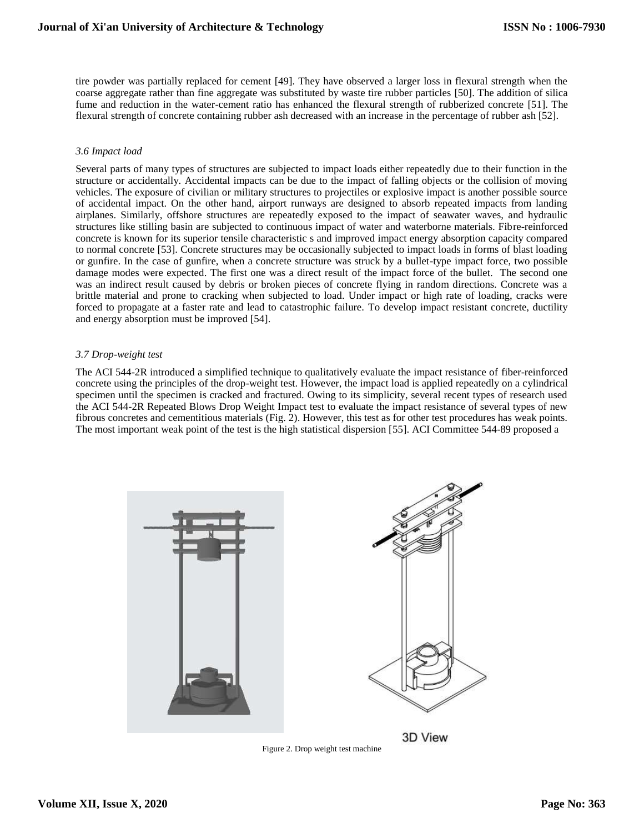tire powder was partially replaced for cement [49]. They have observed a larger loss in flexural strength when the coarse aggregate rather than fine aggregate was substituted by waste tire rubber particles [50]. The addition of silica fume and reduction in the water-cement ratio has enhanced the flexural strength of rubberized concrete [51]. The flexural strength of concrete containing rubber ash decreased with an increase in the percentage of rubber ash [52].

# *3.6 Impact load*

Several parts of many types of structures are subjected to impact loads either repeatedly due to their function in the structure or accidentally. Accidental impacts can be due to the impact of falling objects or the collision of moving vehicles. The exposure of civilian or military structures to projectiles or explosive impact is another possible source of accidental impact. On the other hand, airport runways are designed to absorb repeated impacts from landing airplanes. Similarly, offshore structures are repeatedly exposed to the impact of seawater waves, and hydraulic structures like stilling basin are subjected to continuous impact of water and waterborne materials. Fibre-reinforced concrete is known for its superior tensile characteristic s and improved impact energy absorption capacity compared to normal concrete [53]. Concrete structures may be occasionally subjected to impact loads in forms of blast loading or gunfire. In the case of gunfire, when a concrete structure was struck by a bullet-type impact force, two possible damage modes were expected. The first one was a direct result of the impact force of the bullet. The second one was an indirect result caused by debris or broken pieces of concrete flying in random directions. Concrete was a brittle material and prone to cracking when subjected to load. Under impact or high rate of loading, cracks were forced to propagate at a faster rate and lead to catastrophic failure. To develop impact resistant concrete, ductility and energy absorption must be improved [54].

# *3.7 Drop-weight test*

The ACI 544-2R introduced a simplified technique to qualitatively evaluate the impact resistance of fiber-reinforced concrete using the principles of the drop-weight test. However, the impact load is applied repeatedly on a cylindrical specimen until the specimen is cracked and fractured. Owing to its simplicity, several recent types of research used the ACI 544-2R Repeated Blows Drop Weight Impact test to evaluate the impact resistance of several types of new fibrous concretes and cementitious materials (Fig. 2). However, this test as for other test procedures has weak points. The most important weak point of the test is the high statistical dispersion [55]. ACI Committee 544-89 proposed a



Figure 2. Drop weight test machine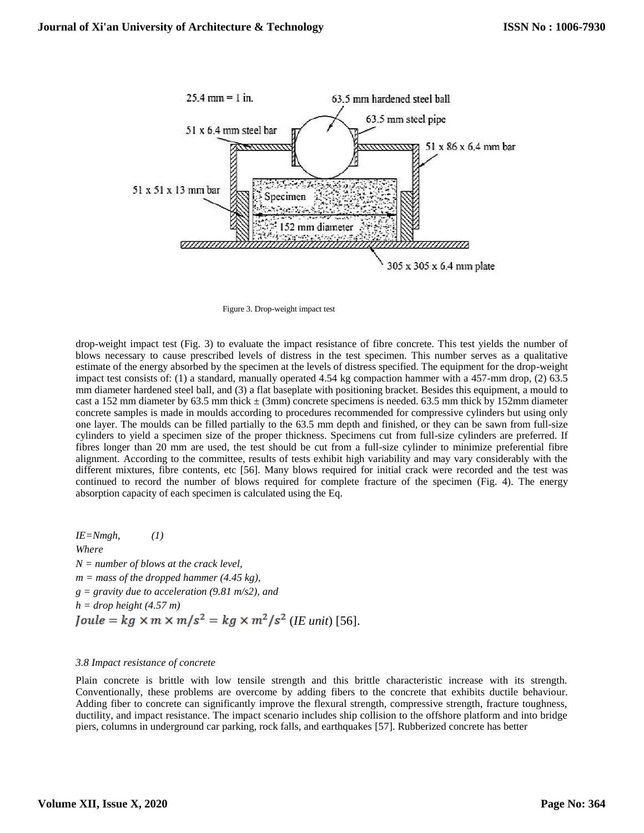

Figure 3. Drop-weight impact test

drop-weight impact test (Fig. 3) to evaluate the impact resistance of fibre concrete. This test yields the number of blows necessary to cause prescribed levels of distress in the test specimen. This number serves as a qualitative estimate of the energy absorbed by the specimen at the levels of distress specified. The equipment for the drop-weight impact test consists of: (1) a standard, manually operated 4.54 kg compaction hammer with a 457-mm drop, (2) 63.5 mm diameter hardened steel ball, and (3) a flat baseplate with positioning bracket. Besides this equipment, a mould to cast a 152 mm diameter by 63.5 mm thick  $\pm$  (3mm) concrete specimens is needed. 63.5 mm thick by 152mm diameter concrete samples is made in moulds according to procedures recommended for compressive cylinders but using only one layer. The moulds can be filled partially to the 63.5 mm depth and finished, or they can be sawn from full-size cylinders to yield a specimen size of the proper thickness. Specimens cut from full-size cylinders are preferred. If fibres longer than 20 mm are used, the test should be cut from a full-size cylinder to minimize preferential fibre alignment. According to the committee, results of tests exhibit high variability and may vary considerably with the different mixtures, fibre contents, etc [56]. Many blows required for initial crack were recorded and the test was continued to record the number of blows required for complete fracture of the specimen (Fig. 4). The energy absorption capacity of each specimen is calculated using the Eq.

*IE=Nmgh, (1) Where N = number of blows at the crack level, m = mass of the dropped hammer (4.45 kg), g = gravity due to acceleration (9.81 m/s2), and h = drop height (4.57 m)*  $Ioule = kg \times m \times m/s^2 = kg \times m^2/s^2$  (*IE unit*) [56].

# *3.8 Impact resistance of concrete*

Plain concrete is brittle with low tensile strength and this brittle characteristic increase with its strength. Conventionally, these problems are overcome by adding fibers to the concrete that exhibits ductile behaviour. Adding fiber to concrete can significantly improve the flexural strength, compressive strength, fracture toughness, ductility, and impact resistance. The impact scenario includes ship collision to the offshore platform and into bridge piers, columns in underground car parking, rock falls, and earthquakes [57]. Rubberized concrete has better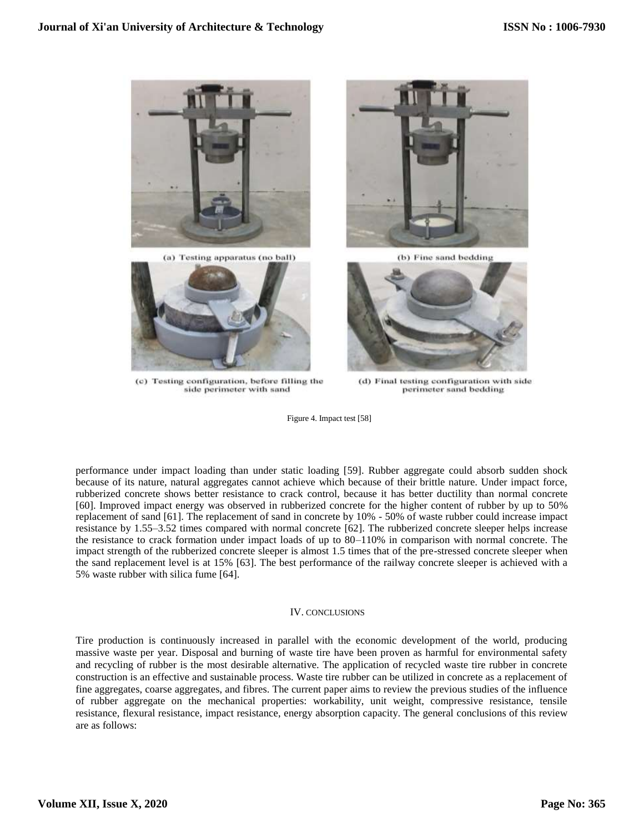

(c) Testing configuration, before filling the side perimeter with sand



(d) Final testing configuration with side perimeter sand bedding

Figure 4. Impact test [58]

performance under impact loading than under static loading [59]. Rubber aggregate could absorb sudden shock because of its nature, natural aggregates cannot achieve which because of their brittle nature. Under impact force, rubberized concrete shows better resistance to crack control, because it has better ductility than normal concrete [60]. Improved impact energy was observed in rubberized concrete for the higher content of rubber by up to 50% replacement of sand [61]. The replacement of sand in concrete by 10% - 50% of waste rubber could increase impact resistance by 1.55–3.52 times compared with normal concrete [62]. The rubberized concrete sleeper helps increase the resistance to crack formation under impact loads of up to 80–110% in comparison with normal concrete. The impact strength of the rubberized concrete sleeper is almost 1.5 times that of the pre-stressed concrete sleeper when the sand replacement level is at 15% [63]. The best performance of the railway concrete sleeper is achieved with a 5% waste rubber with silica fume [64].

## IV. CONCLUSIONS

Tire production is continuously increased in parallel with the economic development of the world, producing massive waste per year. Disposal and burning of waste tire have been proven as harmful for environmental safety and recycling of rubber is the most desirable alternative. The application of recycled waste tire rubber in concrete construction is an effective and sustainable process. Waste tire rubber can be utilized in concrete as a replacement of fine aggregates, coarse aggregates, and fibres. The current paper aims to review the previous studies of the influence of rubber aggregate on the mechanical properties: workability, unit weight, compressive resistance, tensile resistance, flexural resistance, impact resistance, energy absorption capacity. The general conclusions of this review are as follows: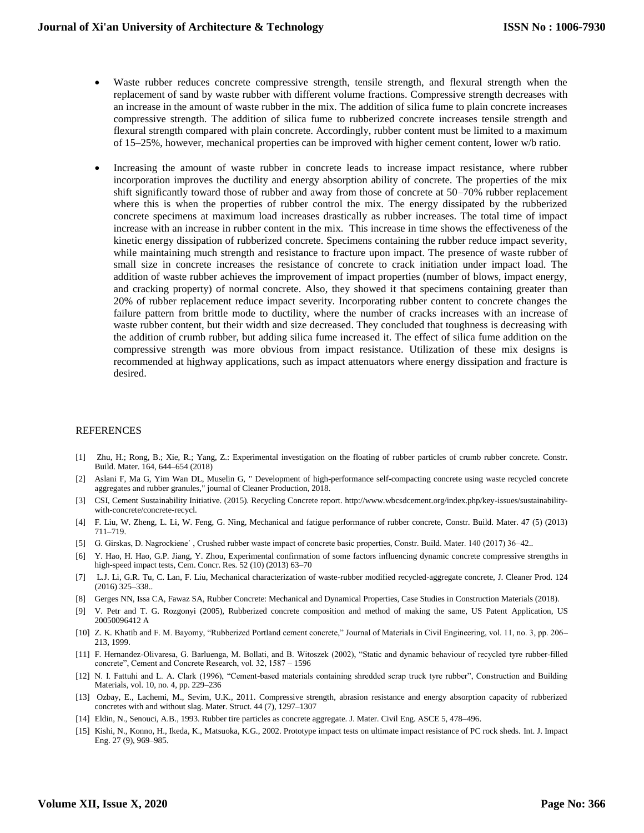- Waste rubber reduces concrete compressive strength, tensile strength, and flexural strength when the replacement of sand by waste rubber with different volume fractions. Compressive strength decreases with an increase in the amount of waste rubber in the mix. The addition of silica fume to plain concrete increases compressive strength. The addition of silica fume to rubberized concrete increases tensile strength and flexural strength compared with plain concrete. Accordingly, rubber content must be limited to a maximum of 15–25%, however, mechanical properties can be improved with higher cement content, lower w/b ratio.
- Increasing the amount of waste rubber in concrete leads to increase impact resistance, where rubber incorporation improves the ductility and energy absorption ability of concrete. The properties of the mix shift significantly toward those of rubber and away from those of concrete at 50–70% rubber replacement where this is when the properties of rubber control the mix. The energy dissipated by the rubberized concrete specimens at maximum load increases drastically as rubber increases. The total time of impact increase with an increase in rubber content in the mix. This increase in time shows the effectiveness of the kinetic energy dissipation of rubberized concrete. Specimens containing the rubber reduce impact severity, while maintaining much strength and resistance to fracture upon impact. The presence of waste rubber of small size in concrete increases the resistance of concrete to crack initiation under impact load. The addition of waste rubber achieves the improvement of impact properties (number of blows, impact energy, and cracking property) of normal concrete. Also, they showed it that specimens containing greater than 20% of rubber replacement reduce impact severity. Incorporating rubber content to concrete changes the failure pattern from brittle mode to ductility, where the number of cracks increases with an increase of waste rubber content, but their width and size decreased. They concluded that toughness is decreasing with the addition of crumb rubber, but adding silica fume increased it. The effect of silica fume addition on the compressive strength was more obvious from impact resistance. Utilization of these mix designs is recommended at highway applications, such as impact attenuators where energy dissipation and fracture is desired.

## REFERENCES

- [1] Zhu, H.; Rong, B.; Xie, R.; Yang, Z.: Experimental investigation on the floating of rubber particles of crumb rubber concrete. Constr. Build. Mater. 164, 644–654 (2018)
- [2] Aslani F, Ma G, Yim Wan DL, Muselin G, " Development of high-performance self-compacting concrete using waste recycled concrete aggregates and rubber granules," journal of Cleaner Production, 2018.
- [3] CSI, Cement Sustainability Initiative. (2015). Recycling Concrete report. http://www.wbcsdcement.org/index.php/key-issues/sustainabilitywith-concrete/concrete-recycl.
- [4] F. Liu, W. Zheng, L. Li, W. Feng, G. Ning, Mechanical and fatigue performance of rubber concrete, Constr. Build. Mater. 47 (5) (2013) 711–719.
- [5] G. Girskas, D. Nagrockiene˙ , Crushed rubber waste impact of concrete basic properties, Constr. Build. Mater. 140 (2017) 36–42..
- [6] Y. Hao, H. Hao, G.P. Jiang, Y. Zhou, Experimental confirmation of some factors influencing dynamic concrete compressive strengths in high-speed impact tests, Cem. Concr. Res. 52 (10) (2013) 63–70
- [7] L.J. Li, G.R. Tu, C. Lan, F. Liu, Mechanical characterization of waste-rubber modified recycled-aggregate concrete, J. Cleaner Prod. 124 (2016) 325–338..
- [8] Gerges NN, Issa CA, Fawaz SA, Rubber Concrete: Mechanical and Dynamical Properties, Case Studies in Construction Materials (2018).
- [9] V. Petr and T. G. Rozgonyi (2005), Rubberized concrete composition and method of making the same, US Patent Application, US 20050096412 A
- [10] Z. K. Khatib and F. M. Bayomy, "Rubberized Portland cement concrete," Journal of Materials in Civil Engineering, vol. 11, no. 3, pp. 206– 213, 1999.
- [11] F. Hernandez-Olivaresa, G. Barluenga, M. Bollati, and B. Witoszek (2002), "Static and dynamic behaviour of recycled tyre rubber-filled concrete", Cement and Concrete Research, vol. 32, 1587 – 1596
- [12] N. I. Fattuhi and L. A. Clark (1996), "Cement-based materials containing shredded scrap truck tyre rubber", Construction and Building Materials, vol. 10, no. 4, pp. 229–236
- [13] Ozbay, E., Lachemi, M., Sevim, U.K., 2011. Compressive strength, abrasion resistance and energy absorption capacity of rubberized concretes with and without slag. Mater. Struct. 44 (7), 1297–1307
- [14] Eldin, N., Senouci, A.B., 1993. Rubber tire particles as concrete aggregate. J. Mater. Civil Eng. ASCE 5, 478–496.
- [15] Kishi, N., Konno, H., Ikeda, K., Matsuoka, K.G., 2002. Prototype impact tests on ultimate impact resistance of PC rock sheds. Int. J. Impact Eng. 27 (9), 969–985.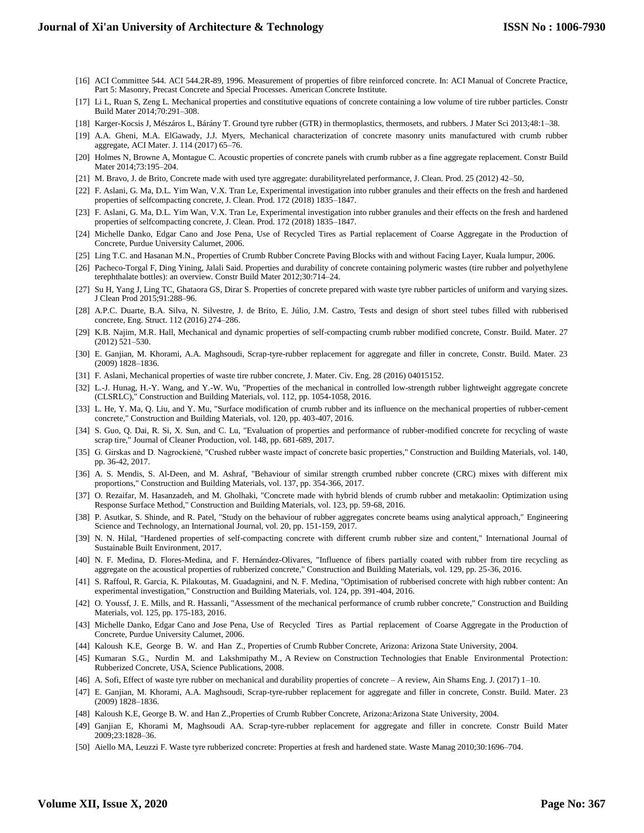# **Journal of Xi'an University of Architecture & Technology**

- [16] ACI Committee 544. ACI 544.2R-89, 1996. Measurement of properties of fibre reinforced concrete. In: ACI Manual of Concrete Practice, Part 5: Masonry, Precast Concrete and Special Processes. American Concrete Institute.
- [17] Li L, Ruan S, Zeng L. Mechanical properties and constitutive equations of concrete containing a low volume of tire rubber particles. Constr Build Mater 2014;70:291–308.
- [18] Karger-Kocsis J, Mészáros L, Bárány T. Ground tyre rubber (GTR) in thermoplastics, thermosets, and rubbers. J Mater Sci 2013;48:1–38.
- [19] A.A. Gheni, M.A. ElGawady, J.J. Myers, Mechanical characterization of concrete masonry units manufactured with crumb rubber aggregate, ACI Mater. J. 114 (2017) 65–76.
- [20] Holmes N, Browne A, Montague C. Acoustic properties of concrete panels with crumb rubber as a fine aggregate replacement. Constr Build Mater 2014;73:195–204.
- [21] M. Bravo, J. de Brito, Concrete made with used tyre aggregate: durabilityrelated performance, J. Clean. Prod. 25 (2012) 42–50,
- [22] F. Aslani, G. Ma, D.L. Yim Wan, V.X. Tran Le, Experimental investigation into rubber granules and their effects on the fresh and hardened properties of selfcompacting concrete, J. Clean. Prod. 172 (2018) 1835–1847.
- [23] F. Aslani, G. Ma, D.L. Yim Wan, V.X. Tran Le, Experimental investigation into rubber granules and their effects on the fresh and hardened properties of selfcompacting concrete, J. Clean. Prod. 172 (2018) 1835–1847.
- [24] Michelle Danko, Edgar Cano and Jose Pena, Use of Recycled Tires as Partial replacement of Coarse Aggregate in the Production of Concrete, Purdue University Calumet, 2006.
- [25] Ling T.C. and Hasanan M.N., Properties of Crumb Rubber Concrete Paving Blocks with and without Facing Layer, Kuala lumpur, 2006.
- [26] Pacheco-Torgal F, Ding Yining, Jalali Said. Properties and durability of concrete containing polymeric wastes (tire rubber and polyethylene terephthalate bottles): an overview. Constr Build Mater 2012;30:714–24.
- [27] Su H, Yang J, Ling TC, Ghataora GS, Dirar S. Properties of concrete prepared with waste tyre rubber particles of uniform and varying sizes. J Clean Prod 2015;91:288–96.
- [28] A.P.C. Duarte, B.A. Silva, N. Silvestre, J. de Brito, E. Júlio, J.M. Castro, Tests and design of short steel tubes filled with rubberised concrete, Eng. Struct. 112 (2016) 274–286.
- [29] K.B. Najim, M.R. Hall, Mechanical and dynamic properties of self-compacting crumb rubber modified concrete, Constr. Build. Mater. 27 (2012) 521–530.
- [30] E. Ganjian, M. Khorami, A.A. Maghsoudi, Scrap-tyre-rubber replacement for aggregate and filler in concrete, Constr. Build. Mater. 23 (2009) 1828–1836.
- [31] F. Aslani, Mechanical properties of waste tire rubber concrete, J. Mater. Civ. Eng. 28 (2016) 04015152.
- [32] L.-J. Hunag, H.-Y. Wang, and Y.-W. Wu, "Properties of the mechanical in controlled low-strength rubber lightweight aggregate concrete (CLSRLC)," Construction and Building Materials, vol. 112, pp. 1054-1058, 2016.
- [33] L. He, Y. Ma, Q. Liu, and Y. Mu, "Surface modification of crumb rubber and its influence on the mechanical properties of rubber-cement concrete," Construction and Building Materials, vol. 120, pp. 403-407, 2016.
- [34] S. Guo, Q. Dai, R. Si, X. Sun, and C. Lu, "Evaluation of properties and performance of rubber-modified concrete for recycling of waste scrap tire," Journal of Cleaner Production, vol. 148, pp. 681-689, 2017.
- [35] G. Girskas and D. Nagrockienė, "Crushed rubber waste impact of concrete basic properties," Construction and Building Materials, vol. 140, pp. 36-42, 2017.
- [36] A. S. Mendis, S. Al-Deen, and M. Ashraf, "Behaviour of similar strength crumbed rubber concrete (CRC) mixes with different mix proportions," Construction and Building Materials, vol. 137, pp. 354-366, 2017.
- [37] O. Rezaifar, M. Hasanzadeh, and M. Gholhaki, "Concrete made with hybrid blends of crumb rubber and metakaolin: Optimization using Response Surface Method," Construction and Building Materials, vol. 123, pp. 59-68, 2016.
- [38] P. Asutkar, S. Shinde, and R. Patel, "Study on the behaviour of rubber aggregates concrete beams using analytical approach," Engineering Science and Technology, an International Journal, vol. 20, pp. 151-159, 2017.
- [39] N. N. Hilal, "Hardened properties of self-compacting concrete with different crumb rubber size and content," International Journal of Sustainable Built Environment, 2017.
- [40] N. F. Medina, D. Flores-Medina, and F. Hernández-Olivares, "Influence of fibers partially coated with rubber from tire recycling as aggregate on the acoustical properties of rubberized concrete," Construction and Building Materials, vol. 129, pp. 25-36, 2016.
- [41] S. Raffoul, R. Garcia, K. Pilakoutas, M. Guadagnini, and N. F. Medina, "Optimisation of rubberised concrete with high rubber content: An experimental investigation," Construction and Building Materials, vol. 124, pp. 391-404, 2016.
- [42] O. Youssf, J. E. Mills, and R. Hassanli, "Assessment of the mechanical performance of crumb rubber concrete," Construction and Building Materials, vol. 125, pp. 175-183, 2016.
- [43] Michelle Danko, Edgar Cano and Jose Pena, Use of Recycled Tires as Partial replacement of Coarse Aggregate in the Production of Concrete, Purdue University Calumet, 2006.
- [44] Kaloush K.E, George B. W. and Han Z., Properties of Crumb Rubber Concrete, Arizona: Arizona State University, 2004.
- [45] Kumaran S.G., Nurdin M. and Lakshmipathy M., A Review on Construction Technologies that Enable Environmental Protection: Rubberized Concrete, USA, Science Publications, 2008.
- [46] A. Sofi, Effect of waste tyre rubber on mechanical and durability properties of concrete A review, Ain Shams Eng. J. (2017) 1–10.
- [47] E. Ganjian, M. Khorami, A.A. Maghsoudi, Scrap-tyre-rubber replacement for aggregate and filler in concrete, Constr. Build. Mater. 23 (2009) 1828–1836.
- [48] Kaloush K.E, George B. W. and Han Z.,Properties of Crumb Rubber Concrete, Arizona:Arizona State University, 2004.
- [49] Ganjian E, Khorami M, Maghsoudi AA. Scrap-tyre-rubber replacement for aggregate and filler in concrete. Constr Build Mater 2009;23:1828–36.
- [50] Aiello MA, Leuzzi F. Waste tyre rubberized concrete: Properties at fresh and hardened state. Waste Manag 2010;30:1696–704.